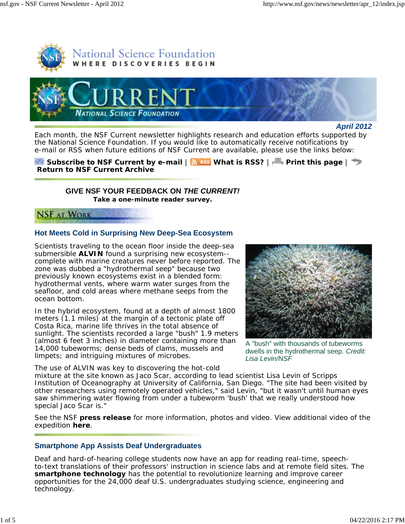



*April 2012*

Each month, the *NSF Current* newsletter highlights research and education efforts supported by the National Science Foundation. If you would like to automatically receive notifications by e-mail or RSS when future editions of *NSF Current* are available, please use the links below:

**Subscribe to** *NSF Current* **by e-mail | <b>MRSS** What is RSS? | **Print this page** |  $\rightarrow$ **Return to** *NSF Current* **Archive**

# **GIVE NSF YOUR FEEDBACK ON** *THE CURRENT!* **Take a one-minute reader survey.**

**NSF AT WORK** 

# **Hot Meets Cold in Surprising New Deep-Sea Ecosystem**

Scientists traveling to the ocean floor inside the deep-sea submersible **ALVIN** found a surprising new ecosystem- complete with marine creatures never before reported. The zone was dubbed a "hydrothermal seep" because two previously known ecosystems exist in a blended form: hydrothermal vents, where warm water surges from the seafloor, and cold areas where methane seeps from the ocean bottom.

In the hybrid ecosystem, found at a depth of almost 1800 meters (1.1 miles) at the margin of a tectonic plate off Costa Rica, marine life thrives in the total absence of sunlight. The scientists recorded a large "bush" 1.9 meters (almost 6 feet 3 inches) in diameter containing more than 14,000 tubeworms; dense beds of clams, mussels and limpets; and intriguing mixtures of microbes.



A "bush" with thousands of tubeworms dwells in the hydrothermal seep. *Credit: Lisa Levin/NSF*

The use of ALVIN was key to discovering the hot-cold

mixture at the site known as Jaco Scar, according to lead scientist Lisa Levin of Scripps Institution of Oceanography at University of California, San Diego. "The site had been visited by other researchers using remotely operated vehicles," said Levin, "but it wasn't until human eyes saw shimmering water flowing from under a tubeworm 'bush' that we really understood how special Jaco Scar is."

See the NSF **press release** for more information, photos and video. View additional video of the expedition **here**.

# **Smartphone App Assists Deaf Undergraduates**

Deaf and hard-of-hearing college students now have an app for reading real-time, speechto-text translations of their professors' instruction in science labs and at remote field sites. The **smartphone technology** has the potential to revolutionize learning and improve career opportunities for the 24,000 deaf U.S. undergraduates studying science, engineering and technology.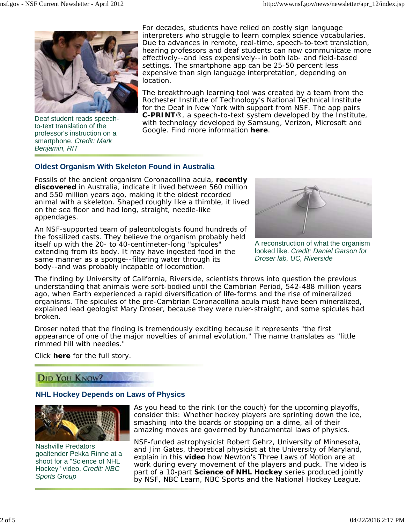

Deaf student reads speechto-text translation of the professor's instruction on a smartphone. *Credit: Mark Benjamin, RIT*

For decades, students have relied on costly sign language interpreters who struggle to learn complex science vocabularies. Due to advances in remote, real-time, speech-to-text translation, hearing professors and deaf students can now communicate more effectively--and less expensively--in both lab- and field-based settings. The smartphone app can be 25-50 percent less expensive than sign language interpretation, depending on location.

The breakthrough learning tool was created by a team from the Rochester Institute of Technology's National Technical Institute for the Deaf in New York with support from NSF. The app pairs **C-PRINT**®, a speech-to-text system developed by the Institute, with technology developed by Samsung, Verizon, Microsoft and Google. Find more information **here**.

### **Oldest Organism With Skeleton Found in Australia**

Fossils of the ancient organism *Coronacollina acula*, **recently discovered** in Australia, indicate it lived between 560 million and 550 million years ago, making it the oldest recorded animal with a skeleton. Shaped roughly like a thimble, it lived on the sea floor and had long, straight, needle-like appendages.

An NSF-supported team of paleontologists found hundreds of the fossilized casts. They believe the organism probably held itself up with the 20- to 40-centimeter-long "spicules" extending from its body. It may have ingested food in the same manner as a sponge--filtering water through its body--and was probably incapable of locomotion.



A reconstruction of what the organism looked like. *Credit: Daniel Garson for Droser lab, UC, Riverside*

The finding by University of California, Riverside, scientists throws into question the previous understanding that animals were soft-bodied until the Cambrian Period, 542-488 million years ago, when Earth experienced a rapid diversification of life-forms and the rise of mineralized organisms. The spicules of the pre-Cambrian *Coronacollina acula* must have been mineralized, explained lead geologist Mary Droser, because they were ruler-straight, and some spicules had broken.

Droser noted that the finding is tremendously exciting because it represents "the first appearance of one of the major novelties of animal evolution." The name translates as "little rimmed hill with needles."

Click **here** for the full story.

# DID YOU KNOW?

#### **NHL Hockey Depends on Laws of Physics**



Nashville Predators goaltender Pekka Rinne at a shoot for a "Science of NHL Hockey" video. *Credit: NBC Sports Group*

As you head to the rink (or the couch) for the upcoming playoffs, consider this: Whether hockey players are sprinting down the ice, smashing into the boards or stopping on a dime, all of their amazing moves are governed by fundamental laws of physics.

NSF-funded astrophysicist Robert Gehrz, University of Minnesota, and Jim Gates, theoretical physicist at the University of Maryland, explain in this **video** how Newton's Three Laws of Motion are at work during every movement of the players and puck. The video is part of a 10-part **Science of NHL Hockey** series produced jointly by NSF, NBC Learn, NBC Sports and the National Hockey League.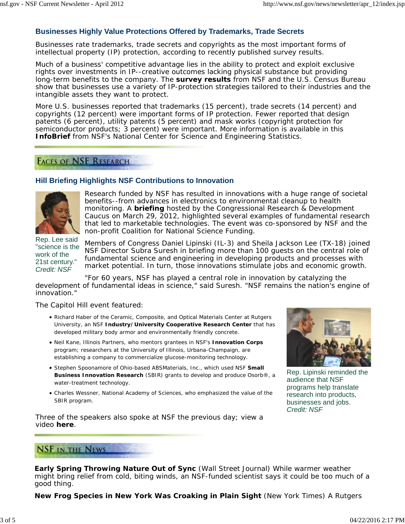### **Businesses Highly Value Protections Offered by Trademarks, Trade Secrets**

Businesses rate trademarks, trade secrets and copyrights as the most important forms of intellectual property (IP) protection, according to recently published survey results.

Much of a business' competitive advantage lies in the ability to protect and exploit exclusive rights over investments in IP--creative outcomes lacking physical substance but providing long-term benefits to the company. The **survey results** from NSF and the U.S. Census Bureau show that businesses use a variety of IP-protection strategies tailored to their industries and the intangible assets they want to protect.

More U.S. businesses reported that trademarks (15 percent), trade secrets (14 percent) and copyrights (12 percent) were important forms of IP protection. Fewer reported that design patents (6 percent), utility patents (5 percent) and mask works (copyright protection for semiconductor products; 3 percent) were important. More information is available in this **InfoBrief** from NSF's National Center for Science and Engineering Statistics.

# **FACES OF NSF RESEARCH**

### **Hill Briefing Highlights NSF Contributions to Innovation**



Research funded by NSF has resulted in innovations with a huge range of societal benefits--from advances in electronics to environmental cleanup to health monitoring. A **briefing** hosted by the Congressional Research & Development Caucus on March 29, 2012, highlighted several examples of fundamental research that led to marketable technologies. The event was co-sponsored by NSF and the non-profit Coalition for National Science Funding.

Rep. Lee said "science is the work of the 21st century." *Credit: NSF*

Members of Congress Daniel Lipinski (IL-3) and Sheila Jackson Lee (TX-18) joined NSF Director Subra Suresh in briefing more than 100 guests on the central role of fundamental science and engineering in developing products and processes with market potential. In turn, those innovations stimulate jobs and economic growth.

"For 60 years, NSF has played a central role in innovation by catalyzing the development of fundamental ideas in science," said Suresh. "NSF remains the nation's engine of innovation."

The Capitol Hill event featured:

- Richard Haber of the Ceramic, Composite, and Optical Materials Center at Rutgers University, an NSF **Industry/University Cooperative Research Center** that has developed military body armor and environmentally friendly concrete.
- Neil Kane, Illinois Partners, who mentors grantees in NSF's **Innovation Corps** program; researchers at the University of Illinois, Urbana-Champaign, are establishing a company to commercialize glucose-monitoring technology.
- **Stephen Spoonamore of Ohio-based ABSMaterials, Inc., which used NSF Small Business Innovation Research** (SBIR) grants to develop and produce Osorb®, a water-treatment technology.
- Charles Wessner, National Academy of Sciences, who emphasized the value of the SBIR program.



Rep. Lipinski reminded the audience that NSF programs help translate research into products, businesses and jobs. *Credit: NSF*

Three of the speakers also spoke at NSF the previous day; view a video **here**.

# **NSF IN THE NEWS**

**Early Spring Throwing Nature Out of Sync** (*Wall Street Journal*) While warmer weather might bring relief from cold, biting winds, an NSF-funded scientist says it could be too much of a good thing.

**New Frog Species in New York Was Croaking in Plain Sight** (*New York Times*) A Rutgers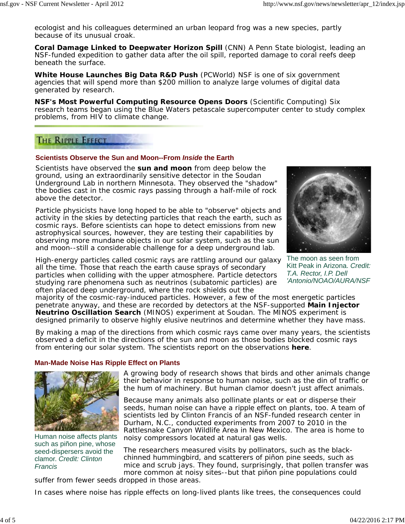ecologist and his colleagues determined an urban leopard frog was a new species, partly because of its unusual croak.

**Coral Damage Linked to Deepwater Horizon Spill** (*CNN*) A Penn State biologist, leading an NSF-funded expedition to gather data after the oil spill, reported damage to coral reefs deep beneath the surface.

**White House Launches Big Data R&D Push** (*PCWorld*) NSF is one of six government agencies that will spend more than \$200 million to analyze large volumes of digital data generated by research.

**NSF's Most Powerful Computing Resource Opens Doors** (*Scientific Computing*) Six research teams began using the Blue Waters petascale supercomputer center to study complex problems, from HIV to climate change.

# **THE RIPPLE EFFECT**

#### **Scientists Observe the Sun and Moon--From** *Inside* **the Earth**

Scientists have observed the **sun and moon** from deep below the ground, using an extraordinarily sensitive detector in the Soudan Underground Lab in northern Minnesota. They observed the "shadow" the bodies cast in the cosmic rays passing through a half-mile of rock above the detector.

Particle physicists have long hoped to be able to "observe" objects and activity in the skies by detecting particles that reach the earth, such as cosmic rays. Before scientists can hope to detect emissions from new astrophysical sources, however, they are testing their capabilities by observing more mundane objects in our solar system, such as the sun and moon--still a considerable challenge for a deep underground lab.

High-energy particles called cosmic rays are rattling around our galaxy all the time. Those that reach the earth cause sprays of secondary particles when colliding with the upper atmosphere. Particle detectors studying rare phenomena such as neutrinos (subatomic particles) are often placed deep underground, where the rock shields out the



The moon as seen from Kitt Peak in Arizona. *Credit: T.A. Rector, I.P. Dell 'Antonio/NOAO/AURA/NSF*

majority of the cosmic-ray-induced particles. However, a few of the most energetic particles penetrate anyway, and these are recorded by detectors at the NSF-supported **Main Injector Neutrino Oscillation Search** (MINOS) experiment at Soudan. The MINOS experiment is designed primarily to observe highly elusive neutrinos and determine whether they have mass.

By making a map of the directions from which cosmic rays came over many years, the scientists observed a deficit in the directions of the sun and moon as those bodies blocked cosmic rays from entering our solar system. The scientists report on the observations **here**.

### **Man-Made Noise Has Ripple Effect on Plants**



Human noise affects plants such as piñon pine, whose seed-dispersers avoid the clamor. *Credit: Clinton Francis*

A growing body of research shows that birds and other animals change their behavior in response to human noise, such as the din of traffic or the hum of machinery. But human clamor doesn't just affect animals.

Because many animals also pollinate plants or eat or disperse their seeds, human noise can have a ripple effect on plants, too. A team of scientists led by Clinton Francis of an NSF-funded research center in Durham, N.C., conducted experiments from 2007 to 2010 in the Rattlesnake Canyon Wildlife Area in New Mexico. The area is home to noisy compressors located at natural gas wells.

The researchers measured visits by pollinators, such as the blackchinned hummingbird, and scatterers of piñon pine seeds, such as mice and scrub jays. They found, surprisingly, that pollen transfer was more common at noisy sites--but that piñon pine populations could

suffer from fewer seeds dropped in those areas.

In cases where noise has ripple effects on long-lived plants like trees, the consequences could